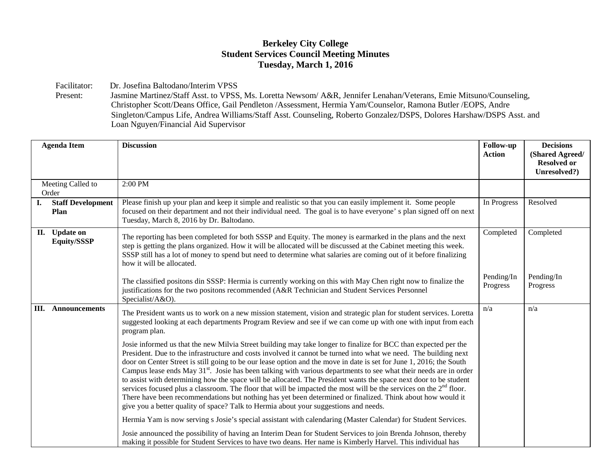## **Berkeley City College Student Services Council Meeting Minutes Tuesday, March 1, 2016**

Facilitator: Dr. Josefina Baltodano/Interim VPSS<br>Present: Jasmine Martinez/Staff Asst. to VPSS

Jasmine Martinez/Staff Asst. to VPSS, Ms. Loretta Newsom/ A&R, Jennifer Lenahan/Veterans, Emie Mitsuno/Counseling, Christopher Scott/Deans Office, Gail Pendleton /Assessment, Hermia Yam/Counselor, Ramona Butler /EOPS, Andre Singleton/Campus Life, Andrea Williams/Staff Asst. Counseling, Roberto Gonzalez/DSPS, Dolores Harshaw/DSPS Asst. and Loan Nguyen/Financial Aid Supervisor

|                            | <b>Agenda Item</b>                      | <b>Discussion</b>                                                                                                                                                                                                                                                                                                                                                                                                                                                                                                                                                                                                                                                                                                                                                                                                                                                                                                                    | Follow-up<br><b>Action</b> | <b>Decisions</b><br>(Shared Agreed/<br><b>Resolved or</b><br>Unresolved?) |
|----------------------------|-----------------------------------------|--------------------------------------------------------------------------------------------------------------------------------------------------------------------------------------------------------------------------------------------------------------------------------------------------------------------------------------------------------------------------------------------------------------------------------------------------------------------------------------------------------------------------------------------------------------------------------------------------------------------------------------------------------------------------------------------------------------------------------------------------------------------------------------------------------------------------------------------------------------------------------------------------------------------------------------|----------------------------|---------------------------------------------------------------------------|
| Meeting Called to<br>Order |                                         | 2:00 PM                                                                                                                                                                                                                                                                                                                                                                                                                                                                                                                                                                                                                                                                                                                                                                                                                                                                                                                              |                            |                                                                           |
| I.                         | <b>Staff Development</b><br><b>Plan</b> | Please finish up your plan and keep it simple and realistic so that you can easily implement it. Some people<br>focused on their department and not their individual need. The goal is to have everyone' s plan signed off on next<br>Tuesday, March 8, 2016 by Dr. Baltodano.                                                                                                                                                                                                                                                                                                                                                                                                                                                                                                                                                                                                                                                       | In Progress                | Resolved                                                                  |
|                            | II. Update on<br>Equity/SSSP            | The reporting has been completed for both SSSP and Equity. The money is earmarked in the plans and the next<br>step is getting the plans organized. How it will be allocated will be discussed at the Cabinet meeting this week.<br>SSSP still has a lot of money to spend but need to determine what salaries are coming out of it before finalizing<br>how it will be allocated.                                                                                                                                                                                                                                                                                                                                                                                                                                                                                                                                                   | Completed                  | Completed                                                                 |
|                            |                                         | The classified positons din SSSP: Hermia is currently working on this with May Chen right now to finalize the<br>justifications for the two positons recommended (A&R Technician and Student Services Personnel<br>Specialist/A&O).                                                                                                                                                                                                                                                                                                                                                                                                                                                                                                                                                                                                                                                                                                  | Pending/In<br>Progress     | Pending/In<br>Progress                                                    |
| Ш.                         | Announcements                           | The President wants us to work on a new mission statement, vision and strategic plan for student services. Loretta<br>suggested looking at each departments Program Review and see if we can come up with one with input from each<br>program plan.                                                                                                                                                                                                                                                                                                                                                                                                                                                                                                                                                                                                                                                                                  | n/a                        | n/a                                                                       |
|                            |                                         | Josie informed us that the new Milvia Street building may take longer to finalize for BCC than expected per the<br>President. Due to the infrastructure and costs involved it cannot be turned into what we need. The building next<br>door on Center Street is still going to be our lease option and the move in date is set for June 1, 2016; the South<br>Campus lease ends May $31st$ . Josie has been talking with various departments to see what their needs are in order<br>to assist with determining how the space will be allocated. The President wants the space next door to be student<br>services focused plus a classroom. The floor that will be impacted the most will be the services on the $2nd$ floor.<br>There have been recommendations but nothing has yet been determined or finalized. Think about how would it<br>give you a better quality of space? Talk to Hermia about your suggestions and needs. |                            |                                                                           |
|                            |                                         | Hermia Yam is now serving s Josie's special assistant with calendaring (Master Calendar) for Student Services.                                                                                                                                                                                                                                                                                                                                                                                                                                                                                                                                                                                                                                                                                                                                                                                                                       |                            |                                                                           |
|                            |                                         | Josie announced the possibility of having an Interim Dean for Student Services to join Brenda Johnson, thereby<br>making it possible for Student Services to have two deans. Her name is Kimberly Harvel. This individual has                                                                                                                                                                                                                                                                                                                                                                                                                                                                                                                                                                                                                                                                                                        |                            |                                                                           |